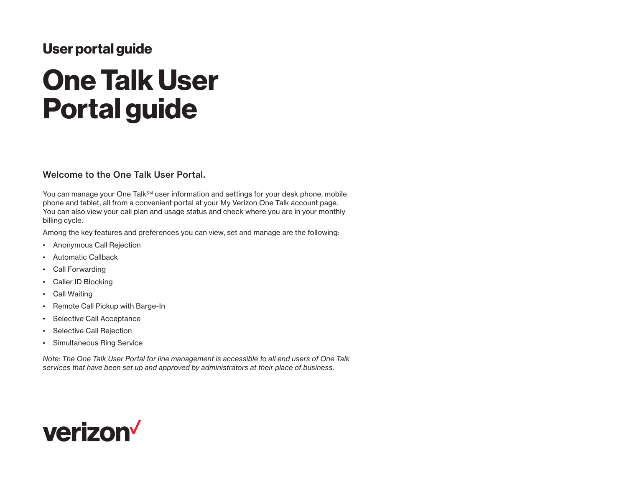# User portal guide

# One Talk User Portal guide

#### Welcome to the One Talk User Portal.

You can manage your One Talk<sup>SM</sup> user information and settings for your desk phone, mobile phone and tablet, all from a convenient portal at your My Verizon One Talk account page. You can also view your call plan and usage status and check where you are in your monthly billing cycle.

Among the key features and preferences you can view, set and manage are the following:

- Anonymous Call Rejection
- Automatic Callback
- Call Forwarding
- Caller ID Blocking
- Call Waiting
- Remote Call Pickup with Barge-In
- Selective Call Acceptance
- Selective Call Rejection
- Simultaneous Ring Service

*Note: The One Talk User Portal for line management is accessible to all end users of One Talk services that have been set up and approved by administrators at their place of business.*

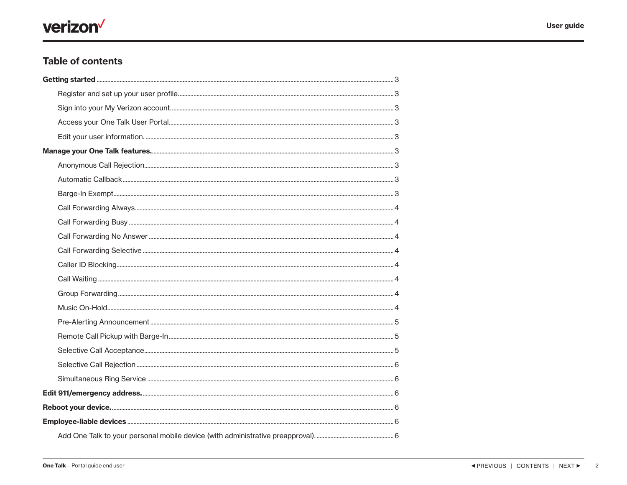# verizon<sup>V</sup>

# **Table of contents**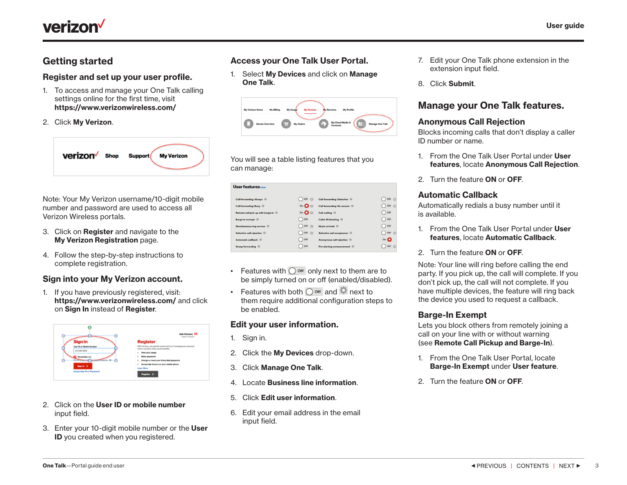<span id="page-2-0"></span>

## Getting started

#### Register and set up your user profile.

- 1. To access and manage your One Talk calling settings online for the first time, visit <https://www.verizonwireless.com/>
- 2. Click My Verizon.



Note: Your My Verizon username/10-digit mobile number and password are used to access all Verizon Wireless portals.

- 3. Click on Register and navigate to the [My Verizon Registration](https://login.verizonwireless.com/accessmanager/public/c/reg/start) page.
- 4. Follow the step-by-step instructions to complete registration.

#### Sign into your My Verizon account.

1. If you have previously registered, visit: <https://www.verizonwireless.com/> and click on Sign In instead of Register.



- 2. Click on the User ID or mobile number input field.
- 3. Enter your 10-digit mobile number or the User ID you created when you registered.

#### Access your One Talk User Portal.

1. Select My Devices and click on Manage One Talk.



You will see a table listing features that you can manage:

| User features Hide                  |                        |                                     |                          |
|-------------------------------------|------------------------|-------------------------------------|--------------------------|
| Call forwarding: Always @           | Off 心                  | <b>Call forwarding: Selective @</b> | Off 25                   |
| Call forwarding: Busy               | on $\bullet$ $\bullet$ | Call forwarding: No answer          | Off お                    |
| Remote call pick up with barge-in @ | on $\bullet$ $\circ$   | Call waiting @                      | $\bigcap$ Off            |
| Barge-in exempt @                   | Off                    | <b>Caller ID blocking</b>           | $\bigcap$ Off            |
| Simultaneous ring service @         | <b>Off</b> 章           | Music on hold @                     | $\bigcap$ off            |
| Selective call rejection @          | Off 心                  | Selective call acceptance           | $\bigcap$ Off $\bigcirc$ |
| Automatic callback @                | $)$ off                | Anonymous call rejection @          | $On$ $\bullet$           |
| Group forwarding                    | Off                    | Pre-alerting announcement           | Off<br>拍                 |

- Features with  $\bigcirc$  off only next to them are to be simply turned on or off (enabled/disabled).
- Features with both  $\bigcirc$  off and  $\bullet$  next to them require additional configuration steps to be enabled.

#### Edit your user information.

- 1. Sign in.
- 2. Click the My Devices drop-down.
- 3. Click Manage One Talk.
- 4. Locate Business line information.
- 5. Click Edit user information.
- 6. Edit your email address in the email input field.
- 7. Edit your One Talk phone extension in the extension input field.
- 8. Click Submit.

## Manage your One Talk features.

#### Anonymous Call Rejection

Blocks incoming calls that don't display a caller ID number or name.

- 1. From the One Talk User Portal under User features, locate Anonymous Call Rejection.
- 2. Turn the feature ON or OFF.

#### Automatic Callback

Automatically redials a busy number until it is available.

- 1. From the One Talk User Portal under User features, locate Automatic Callback.
- 2. Turn the feature ON or OFF.

Note: Your line will ring before calling the end party. If you pick up, the call will complete. If you don't pick up, the call will not complete. If you have multiple devices, the feature will ring back the device you used to request a callback.

#### Barge-In Exempt

Lets you block others from remotely joining a call on your line with or without warning (see Remote Call Pickup and Barge-In).

- 1. From the One Talk User Portal, locate Barge-In Exempt under User feature.
- 2. Turn the feature ON or OFF.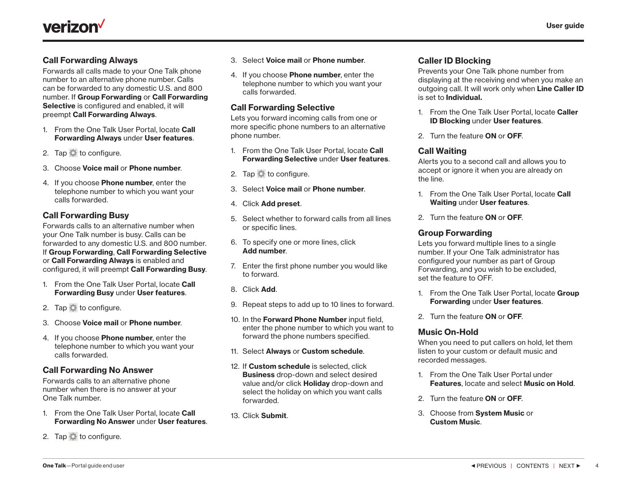<span id="page-3-0"></span>

#### Call Forwarding Always

Forwards all calls made to your One Talk phone number to an alternative phone number. Calls can be forwarded to any domestic U.S. and 800 number. If Group Forwarding or Call Forwarding Selective is configured and enabled, it will preempt Call Forwarding Always.

- 1. From the One Talk User Portal, locate Call Forwarding Always under User features.
- 2. Tap to configure.
- 3. Choose Voice mail or Phone number.
- 4. If you choose **Phone number**, enter the telephone number to which you want your calls forwarded.

#### Call Forwarding Busy

Forwards calls to an alternative number when your One Talk number is busy. Calls can be forwarded to any domestic U.S. and 800 number. If Group Forwarding, Call Forwarding Selective or Call Forwarding Always is enabled and configured, it will preempt Call Forwarding Busy.

- 1. From the One Talk User Portal, locate Call Forwarding Busy under User features.
- 2. Tap  $\bullet$  to configure.
- 3. Choose Voice mail or Phone number.
- 4. If you choose Phone number, enter the telephone number to which you want your calls forwarded.

#### Call Forwarding No Answer

Forwards calls to an alternative phone number when there is no answer at your One Talk number.

- 1. From the One Talk User Portal, locate Call Forwarding No Answer under User features.
- 2. Tap  $\Box$  to configure.
- 3. Select Voice mail or Phone number.
- 4. If you choose **Phone number**, enter the telephone number to which you want your calls forwarded.

#### Call Forwarding Selective

Lets you forward incoming calls from one or more specific phone numbers to an alternative phone number.

- 1. From the One Talk User Portal, locate Call Forwarding Selective under User features.
- 2. Tap to configure.
- 3. Select Voice mail or Phone number.
- 4. Click Add preset.
- 5. Select whether to forward calls from all lines or specific lines.
- 6. To specify one or more lines, click Add number.
- 7. Enter the first phone number you would like to forward.
- 8. Click Add.
- 9. Repeat steps to add up to 10 lines to forward.
- 10. In the **Forward Phone Number** input field. enter the phone number to which you want to forward the phone numbers specified.
- 11. Select Always or Custom schedule.
- 12. If Custom schedule is selected, click Business drop-down and select desired value and/or click **Holiday** drop-down and select the holiday on which you want calls forwarded.
- 13. Click Submit.

#### Caller ID Blocking

Prevents your One Talk phone number from displaying at the receiving end when you make an outgoing call. It will work only when Line Caller ID is set to Individual.

- 1. From the One Talk User Portal, locate Caller ID Blocking under User features.
- 2. Turn the feature ON or OFF.

#### Call Waiting

Alerts you to a second call and allows you to accept or ignore it when you are already on the line.

- 1. From the One Talk User Portal, locate Call Waiting under User features.
- 2. Turn the feature ON or OFF.

#### Group Forwarding

Lets you forward multiple lines to a single number. If your One Talk administrator has configured your number as part of Group Forwarding, and you wish to be excluded, set the feature to OFF.

- 1. From the One Talk User Portal, locate Group Forwarding under User features.
- 2. Turn the feature ON or OFF.

#### Music On-Hold

When you need to put callers on hold, let them listen to your custom or default music and recorded messages.

- 1. From the One Talk User Portal under Features, locate and select Music on Hold.
- 2. Turn the feature ON or OFF.
- 3. Choose from System Music or Custom Music.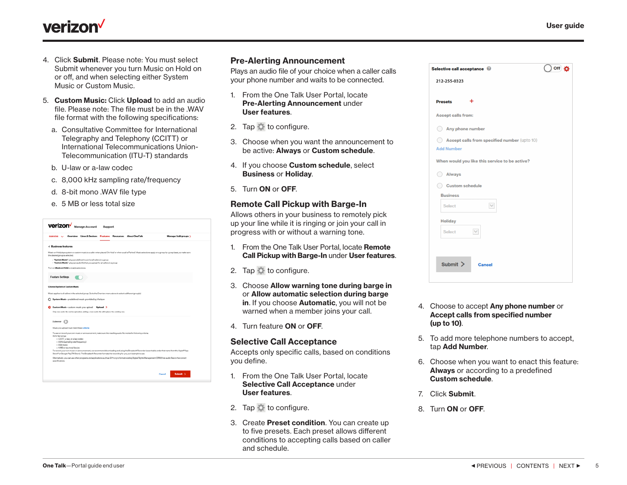

# <span id="page-4-0"></span>**verizon**

- 4. Click Submit. Please note: You must select Submit whenever you turn Music on Hold on or off, and when selecting either System Music or Custom Music.
- 5. Custom Music: Click Upload to add an audio file. Please note: The file must be in the .WAV file format with the following specifications:
	- a. Consultative Committee for International Telegraphy and Telephony (CCITT) or International Telecommunications Union-Telecommunication (ITU-T) standards
	- b. U-law or a-law codec
	- c. 8,000 kHz sampling rate/frequency
	- d. 8-bit mono .WAV file type
	- e. 5 MB or less total size

| <b>Verizon</b> Manage Account<br>Support                                                                                                                                                                                                                                                                                                                                                                                                                                                                                                                                                                                                                                                                                                                                                               |  |
|--------------------------------------------------------------------------------------------------------------------------------------------------------------------------------------------------------------------------------------------------------------------------------------------------------------------------------------------------------------------------------------------------------------------------------------------------------------------------------------------------------------------------------------------------------------------------------------------------------------------------------------------------------------------------------------------------------------------------------------------------------------------------------------------------------|--|
| Overview Lines&Devices Features Resources About OneTalk<br>Manage/Add groups<br><b>SANVIOS</b>                                                                                                                                                                                                                                                                                                                                                                                                                                                                                                                                                                                                                                                                                                         |  |
| < Business features                                                                                                                                                                                                                                                                                                                                                                                                                                                                                                                                                                                                                                                                                                                                                                                    |  |
| Music on Hold plays system or custom music to a caller when placed 'On Hold' or when a call is 'Parked'. Music selections apply on a group-by-group basis, so make sure<br>the desired group is selected.                                                                                                                                                                                                                                                                                                                                                                                                                                                                                                                                                                                              |  |
| - "System Music"-plays predefined music for all callers in a group<br>· "Custom Music"-plays an audio file that you upload for all callers in a group                                                                                                                                                                                                                                                                                                                                                                                                                                                                                                                                                                                                                                                  |  |
| Turn on Music on Hold to enable selections                                                                                                                                                                                                                                                                                                                                                                                                                                                                                                                                                                                                                                                                                                                                                             |  |
| <b>Feature Settings</b>                                                                                                                                                                                                                                                                                                                                                                                                                                                                                                                                                                                                                                                                                                                                                                                |  |
| Choose System or Custom Music                                                                                                                                                                                                                                                                                                                                                                                                                                                                                                                                                                                                                                                                                                                                                                          |  |
| Music applies to all callers in the selected group. Go to the Overview menu above to select a different group(a)                                                                                                                                                                                                                                                                                                                                                                                                                                                                                                                                                                                                                                                                                       |  |
| ○ System Music - predefined music provided by Verizon<br>O Custom Music - custom music you upload Upload ><br>Only one audio file can be uploaded, adding a new audio file will replace the existing one.                                                                                                                                                                                                                                                                                                                                                                                                                                                                                                                                                                                              |  |
| <b>Eulowway</b> (<br>Music you upload must meet these criteria<br>To use or record your own music or announcement, make sure the resulting audio file meets the following criteria<br>WAV file format<br>· CCITT, u-law, or a-law codec<br>· 8 kHz (sampling rate/frequency)<br>· 8 bit mono<br>- 5 MB or less total file size<br>To record your own music or announcement, we recommend downloading and using the Broadsoft Recorder (searchable under that name from the Apple# App<br>Store® or Google PlayTM Store). The Broadcoft Recorder formats the recording for you go it is simple to use.<br>Alternatively, you can use other programs and applications such as G711 org to format existing Digital Rights Management (DRM) free audio files to the correct<br>specifications.<br>Submit > |  |
| Cancel                                                                                                                                                                                                                                                                                                                                                                                                                                                                                                                                                                                                                                                                                                                                                                                                 |  |

#### Pre-Alerting Announcement

Plays an audio file of your choice when a caller calls your phone number and waits to be connected.

- 1. From the One Talk User Portal, locate Pre-Alerting Announcement under User features.
- 2. Tap **th** to configure.
- 3. Choose when you want the announcement to be active: Always or Custom schedule.
- 4. If you choose Custom schedule, select Business or Holiday.
- 5. Turn ON or OFF.

#### Remote Call Pickup with Barge-In

Allows others in your business to remotely pick up your line while it is ringing or join your call in progress with or without a warning tone.

- 1. From the One Talk User Portal, locate Remote Call Pickup with Barge-In under User features.
- 2. Tap to configure.
- 3. Choose Allow warning tone during barge in or Allow automatic selection during barge in. If you choose **Automatic**, you will not be warned when a member joins your call.
- 4. Turn feature ON or OFF.

#### Selective Call Acceptance

Accepts only specific calls, based on conditions you define.

- 1. From the One Talk User Portal, locate Selective Call Acceptance under User features.
- 2. Tap to configure.
- 3. Create Preset condition. You can create up to five presets. Each preset allows different conditions to accepting calls based on caller and schedule.

- 4. Choose to accept Any phone number or Accept calls from specified number (up to 10).
- 5. To add more telephone numbers to accept, tap Add Number.
- 6. Choose when you want to enact this feature: Always or according to a predefined Custom schedule.
- 7. Click Submit.
- 8. Turn ON or OFF.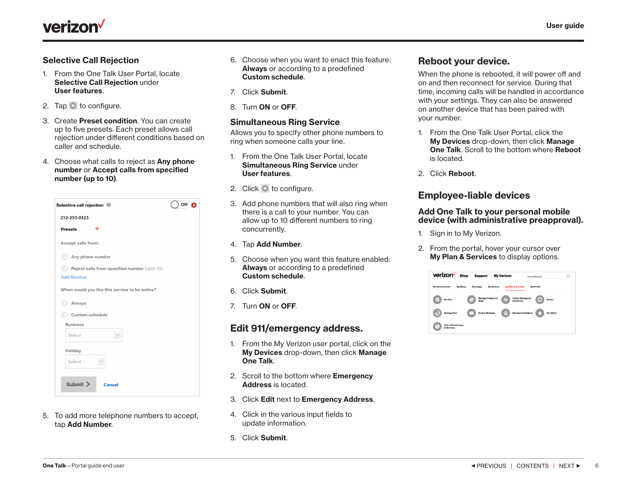<span id="page-5-0"></span>

#### Selective Call Rejection

- 1. From the One Talk User Portal, locate Selective Call Rejection under User features.
- 2. Tap  $\Box$  to configure.
- 3. Create Preset condition. You can create up to five presets. Each preset allows call rejection under different conditions based on caller and schedule.
- 4. Choose what calls to reject as Any phone number or Accept calls from specified number (up to 10).



5. To add more telephone numbers to accept, tap Add Number.

- 6. Choose when you want to enact this feature: Always or according to a predefined Custom schedule.
- 7. Click Submit.
- 8. Turn ON or OFF.

#### Simultaneous Ring Service

Allows you to specify other phone numbers to ring when someone calls your line.

- 1. From the One Talk User Portal, locate Simultaneous Ring Service under User features.
- 2. Click to configure.
- 3. Add phone numbers that will also ring when there is a call to your number. You can allow up to 10 different numbers to ring concurrently.
- 4. Tap Add Number.
- 5. Choose when you want this feature enabled: Always or according to a predefined Custom schedule.
- 6. Click Submit.
- 7. Turn ON or OFF.

## Edit 911/emergency address.

- 1. From the My Verizon user portal, click on the My Devices drop-down, then click Manage One Talk.
- 2. Scroll to the bottom where **Emergency** Address is located.
- 3. Click Edit next to Emergency Address.
- 4. Click in the various input fields to update information.
- 5. Click Submit.

# Reboot your device.

When the phone is rebooted, it will power off and on and then reconnect for service. During that time, incoming calls will be handled in accordance with your settings. They can also be answered on another device that has been paired with your number.

- 1. From the One Talk User Portal, click the My Devices drop-down, then click Manage **One Talk.** Scroll to the bottom where **Reboot** is located.
- 2. Click Reboot.

## Employee-liable devices

#### Add One Talk to your personal mobile device (with administrative preapproval).

- 1. Sign in to My Verizon.
- 2. From the portal, hover your cursor over **My Plan & Services** to display options.

| verizon                                        | <b>Shop</b> | <b>Support</b>                                                                |                   | <b>My Verizon</b> |                                        | I am looking for  |               | O |
|------------------------------------------------|-------------|-------------------------------------------------------------------------------|-------------------|-------------------|----------------------------------------|-------------------|---------------|---|
| <b>My Verizon Home</b>                         | My Billing  | My Usage                                                                      | <b>My Devices</b> |                   | <b>My Plan &amp; Services</b>          | <b>My Profile</b> |               |   |
| $\equiv$<br>My Plan                            |             | <b>Manage Products &amp;</b><br>$\begin{array}{c} \hline \end{array}$<br>Apps |                   |                   | <b>Family Safeguards</b><br>& Controls |                   | <b>Blocks</b> |   |
| <b>Manage Plan</b><br>ত                        |             | <b>Send A Message</b><br>$\sim$ 1                                             |                   |                   | <b>Manage FamilyBase</b>               |                   | My Offers     |   |
| <b>International Usage</b><br>۲.<br>& Services |             |                                                                               |                   |                   |                                        |                   |               |   |